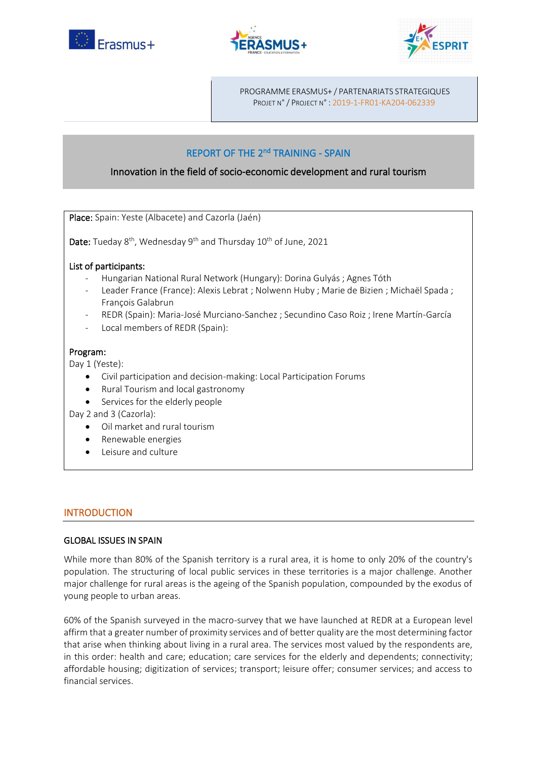





PROGRAMME ERASMUS+ / PARTENARIATS STRATEGIQUES PROJET N° / PROJECT N° : 2019-1-FR01-KA204-062339

# REPORT OF THE 2<sup>nd</sup> TRAINING - SPAIN

# Innovation in the field of socio-economic development and rural tourism

Place: Spain: Yeste (Albacete) and Cazorla (Jaén)

**Date:** Tueday  $8^{th}$ , Wednesday  $9^{th}$  and Thursday  $10^{th}$  of June, 2021

# List of participants:

- Hungarian National Rural Network (Hungary): Dorina Gulyás ; Agnes Tóth
- Leader France (France): Alexis Lebrat ; Nolwenn Huby ; Marie de Bizien ; Michaël Spada ; François Galabrun
- REDR (Spain): Maria-José Murciano-Sanchez ; Secundino Caso Roiz ; Irene Martín-García
- Local members of REDR (Spain):

## Program:

Day 1 (Yeste):

- Civil participation and decision-making: Local Participation Forums
- Rural Tourism and local gastronomy
- Services for the elderly people

Day 2 and 3 (Cazorla):

- Oil market and rural tourism
- Renewable energies
- Leisure and culture

# INTRODUCTION

#### GLOBAL ISSUES IN SPAIN

While more than 80% of the Spanish territory is a rural area, it is home to only 20% of the country's population. The structuring of local public services in these territories is a major challenge. Another major challenge for rural areas is the ageing of the Spanish population, compounded by the exodus of young people to urban areas.

60% of the Spanish surveyed in the macro-survey that we have launched at REDR at a European level affirm that a greater number of proximity services and of better quality are the most determining factor that arise when thinking about living in a rural area. The services most valued by the respondents are, in this order: health and care; education; care services for the elderly and dependents; connectivity; affordable housing; digitization of services; transport; leisure offer; consumer services; and access to financial services.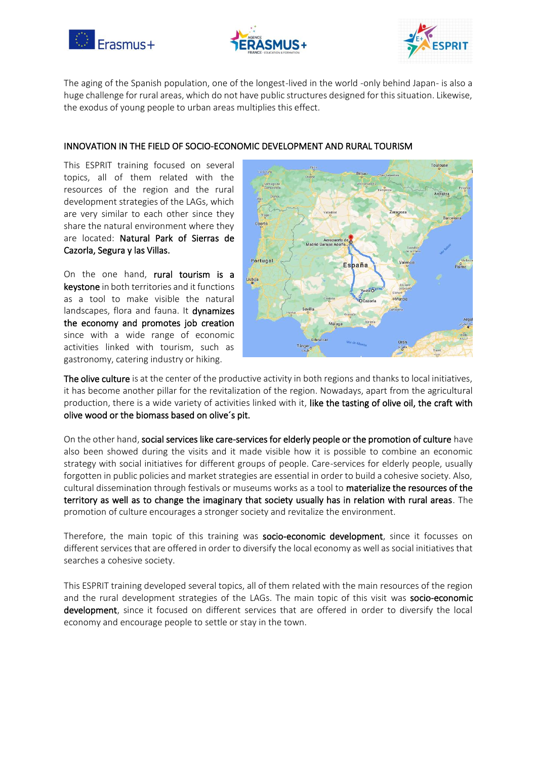





The aging of the Spanish population, one of the longest-lived in the world -only behind Japan- is also a huge challenge for rural areas, which do not have public structures designed for this situation. Likewise, the exodus of young people to urban areas multiplies this effect.

#### INNOVATION IN THE FIELD OF SOCIO-ECONOMIC DEVELOPMENT AND RURAL TOURISM

This ESPRIT training focused on several topics, all of them related with the resources of the region and the rural development strategies of the LAGs, which are very similar to each other since they share the natural environment where they are located: Natural Park of Sierras de Cazorla, Segura y las Villas.

On the one hand, rural tourism is a keystone in both territories and it functions as a tool to make visible the natural landscapes, flora and fauna. It dynamizes the economy and promotes job creation since with a wide range of economic activities linked with tourism, such as gastronomy, catering industry or hiking.



The olive culture is at the center of the productive activity in both regions and thanks to local initiatives, it has become another pillar for the revitalization of the region. Nowadays, apart from the agricultural production, there is a wide variety of activities linked with it, like the tasting of olive oil, the craft with olive wood or the biomass based on olive´s pit.

On the other hand, social services like care-services for elderly people or the promotion of culture have also been showed during the visits and it made visible how it is possible to combine an economic strategy with social initiatives for different groups of people. Care-services for elderly people, usually forgotten in public policies and market strategies are essential in order to build a cohesive society. Also, cultural dissemination through festivals or museums works as a tool to materialize the resources of the territory as well as to change the imaginary that society usually has in relation with rural areas. The promotion of culture encourages a stronger society and revitalize the environment.

Therefore, the main topic of this training was socio-economic development, since it focusses on different services that are offered in order to diversify the local economy as well as social initiatives that searches a cohesive society.

This ESPRIT training developed several topics, all of them related with the main resources of the region and the rural development strategies of the LAGs. The main topic of this visit was socio-economic development, since it focused on different services that are offered in order to diversify the local economy and encourage people to settle or stay in the town.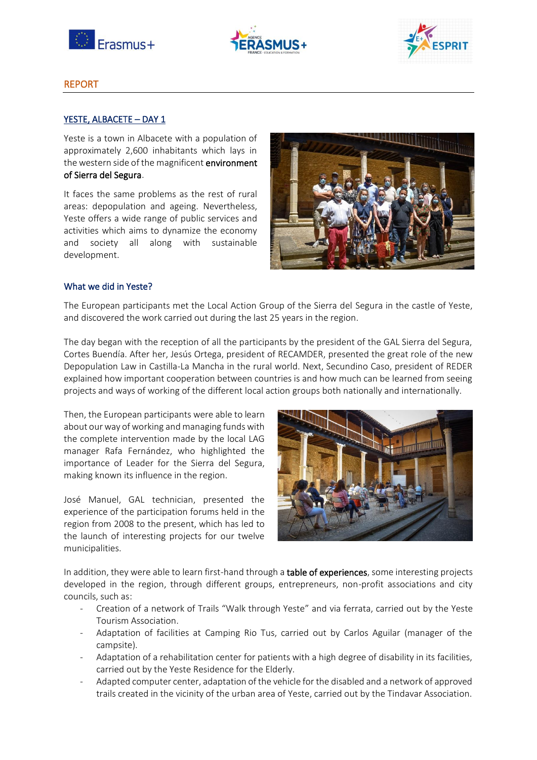





## REPORT

## YESTE, ALBACETE - DAY 1

Yeste is a town in Albacete with a population of approximately 2,600 inhabitants which lays in the western side of the magnificent environment of Sierra del Segura.

It faces the same problems as the rest of rural areas: depopulation and ageing. Nevertheless, Yeste offers a wide range of public services and activities which aims to dynamize the economy and society all along with sustainable development.



#### What we did in Yeste?

The European participants met the Local Action Group of the Sierra del Segura in the castle of Yeste, and discovered the work carried out during the last 25 years in the region.

The day began with the reception of all the participants by the president of the GAL Sierra del Segura, Cortes Buendía. After her, Jesús Ortega, president of RECAMDER, presented the great role of the new Depopulation Law in Castilla-La Mancha in the rural world. Next, Secundino Caso, president of REDER explained how important cooperation between countries is and how much can be learned from seeing projects and ways of working of the different local action groups both nationally and internationally.

Then, the European participants were able to learn about our way of working and managing funds with the complete intervention made by the local LAG manager Rafa Fernández, who highlighted the importance of Leader for the Sierra del Segura, making known its influence in the region.

José Manuel, GAL technician, presented the experience of the participation forums held in the region from 2008 to the present, which has led to the launch of interesting projects for our twelve municipalities.



In addition, they were able to learn first-hand through a table of experiences, some interesting projects developed in the region, through different groups, entrepreneurs, non-profit associations and city councils, such as:

- Creation of a network of Trails "Walk through Yeste" and via ferrata, carried out by the Yeste Tourism Association.
- Adaptation of facilities at Camping Rio Tus, carried out by Carlos Aguilar (manager of the campsite).
- Adaptation of a rehabilitation center for patients with a high degree of disability in its facilities, carried out by the Yeste Residence for the Elderly.
- Adapted computer center, adaptation of the vehicle for the disabled and a network of approved trails created in the vicinity of the urban area of Yeste, carried out by the Tindavar Association.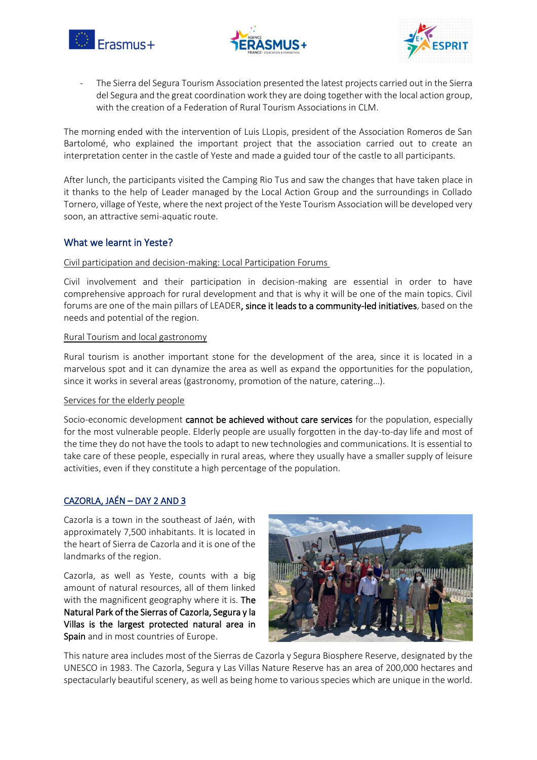





The Sierra del Segura Tourism Association presented the latest projects carried out in the Sierra del Segura and the great coordination work they are doing together with the local action group, with the creation of a Federation of Rural Tourism Associations in CLM.

The morning ended with the intervention of Luis LLopis, president of the Association Romeros de San Bartolomé, who explained the important project that the association carried out to create an interpretation center in the castle of Yeste and made a guided tour of the castle to all participants.

After lunch, the participants visited the Camping Rio Tus and saw the changes that have taken place in it thanks to the help of Leader managed by the Local Action Group and the surroundings in Collado Tornero, village of Yeste, where the next project of the Yeste Tourism Association will be developed very soon, an attractive semi-aquatic route.

# What we learnt in Yeste?

#### Civil participation and decision-making: Local Participation Forums

Civil involvement and their participation in decision-making are essential in order to have comprehensive approach for rural development and that is why it will be one of the main topics. Civil forums are one of the main pillars of LEADER, since it leads to a community-led initiatives, based on the needs and potential of the region.

#### Rural Tourism and local gastronomy

Rural tourism is another important stone for the development of the area, since it is located in a marvelous spot and it can dynamize the area as well as expand the opportunities for the population, since it works in several areas (gastronomy, promotion of the nature, catering...).

#### Services for the elderly people

Socio-economic development cannot be achieved without care services for the population, especially for the most vulnerable people. Elderly people are usually forgotten in the day-to-day life and most of the time they do not have the tools to adapt to new technologies and communications. It is essential to take care of these people, especially in rural areas, where they usually have a smaller supply of leisure activities, even if they constitute a high percentage of the population.

# CAZORLA, JAÉN - DAY 2 AND 3

Cazorla is a town in the southeast of Jaén, with approximately 7,500 inhabitants. It is located in the heart of Sierra de Cazorla and it is one of the landmarks of the region.

Cazorla, as well as Yeste, counts with a big amount of natural resources, all of them linked with the magnificent geography where it is. The Natural Park of the Sierras of Cazorla, Segura y la Villas is the largest protected natural area in Spain and in most countries of Europe.



This nature area includes most of the Sierras de Cazorla y Segura Biosphere Reserve, designated by the UNESCO in 1983. The Cazorla, Segura y Las Villas Nature Reserve has an area of 200,000 hectares and spectacularly beautiful scenery, as well as being home to various species which are unique in the world.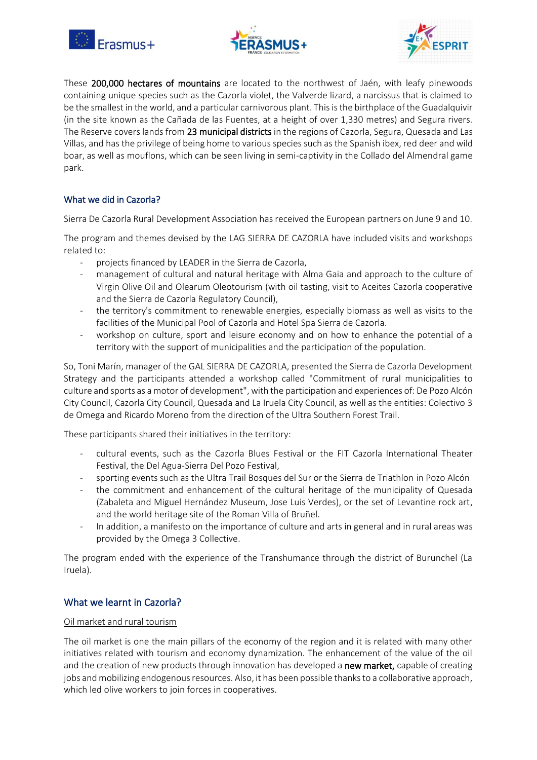





These 200,000 hectares of mountains are located to the northwest of Jaén, with leafy pinewoods containing unique species such as the Cazorla violet, the Valverde lizard, a narcissus that is claimed to be the smallest in the world, and a particular carnivorous plant. This is the birthplace of the Guadalquivir (in the site known as the Cañada de las Fuentes, at a height of over 1,330 metres) and Segura rivers. The Reserve covers lands from 23 municipal districts in the regions of Cazorla, Segura, Quesada and Las Villas, and has the privilege of being home to various species such as the Spanish ibex, red deer and wild boar, as well as mouflons, which can be seen living in semi-captivity in the Collado del Almendral game park.

# What we did in Cazorla?

Sierra De Cazorla Rural Development Association has received the European partners on June 9 and 10.

The program and themes devised by the LAG SIERRA DE CAZORLA have included visits and workshops related to:

- projects financed by LEADER in the Sierra de Cazorla,
- management of cultural and natural heritage with Alma Gaia and approach to the culture of Virgin Olive Oil and Olearum Oleotourism (with oil tasting, visit to Aceites Cazorla cooperative and the Sierra de Cazorla Regulatory Council),
- the territory's commitment to renewable energies, especially biomass as well as visits to the facilities of the Municipal Pool of Cazorla and Hotel Spa Sierra de Cazorla.
- workshop on culture, sport and leisure economy and on how to enhance the potential of a territory with the support of municipalities and the participation of the population.

So, Toni Marín, manager of the GAL SIERRA DE CAZORLA, presented the Sierra de Cazorla Development Strategy and the participants attended a workshop called "Commitment of rural municipalities to culture and sports as a motor of development", with the participation and experiences of: De Pozo Alcón City Council, Cazorla City Council, Quesada and La Iruela City Council, as well as the entities: Colectivo 3 de Omega and Ricardo Moreno from the direction of the Ultra Southern Forest Trail.

These participants shared their initiatives in the territory:

- cultural events, such as the Cazorla Blues Festival or the FIT Cazorla International Theater Festival, the Del Agua-Sierra Del Pozo Festival,
- sporting events such as the Ultra Trail Bosques del Sur or the Sierra de Triathlon in Pozo Alcón
- the commitment and enhancement of the cultural heritage of the municipality of Quesada (Zabaleta and Miguel Hernández Museum, Jose Luis Verdes), or the set of Levantine rock art, and the world heritage site of the Roman Villa of Bruñel.
- In addition, a manifesto on the importance of culture and arts in general and in rural areas was provided by the Omega 3 Collective.

The program ended with the experience of the Transhumance through the district of Burunchel (La Iruela).

# What we learnt in Cazorla?

#### Oil market and rural tourism

The oil market is one the main pillars of the economy of the region and it is related with many other initiatives related with tourism and economy dynamization. The enhancement of the value of the oil and the creation of new products through innovation has developed a new market, capable of creating jobs and mobilizing endogenous resources. Also, it has been possible thanks to a collaborative approach, which led olive workers to join forces in cooperatives.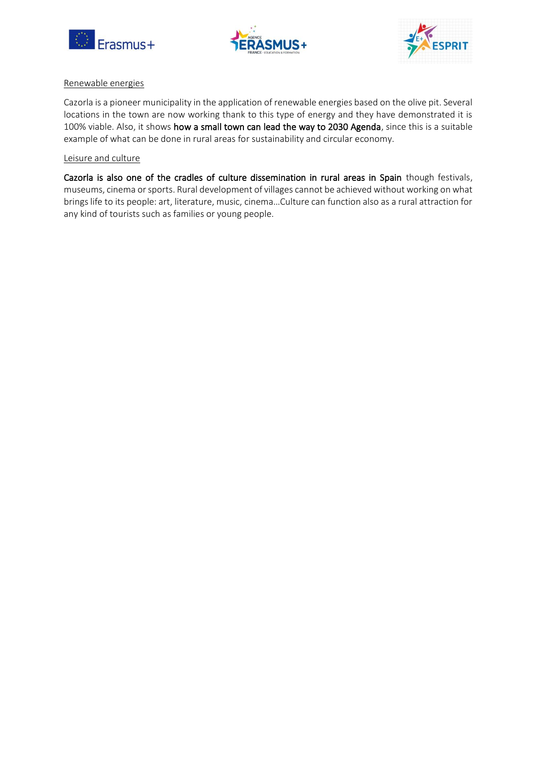





#### Renewable energies

Cazorla is a pioneer municipality in the application of renewable energies based on the olive pit. Several locations in the town are now working thank to this type of energy and they have demonstrated it is 100% viable. Also, it shows how a small town can lead the way to 2030 Agenda, since this is a suitable example of what can be done in rural areas for sustainability and circular economy.

#### Leisure and culture

Cazorla is also one of the cradles of culture dissemination in rural areas in Spain though festivals, museums, cinema or sports. Rural development of villages cannot be achieved without working on what brings life to its people: art, literature, music, cinema...Culture can function also as a rural attraction for any kind of tourists such as families or young people.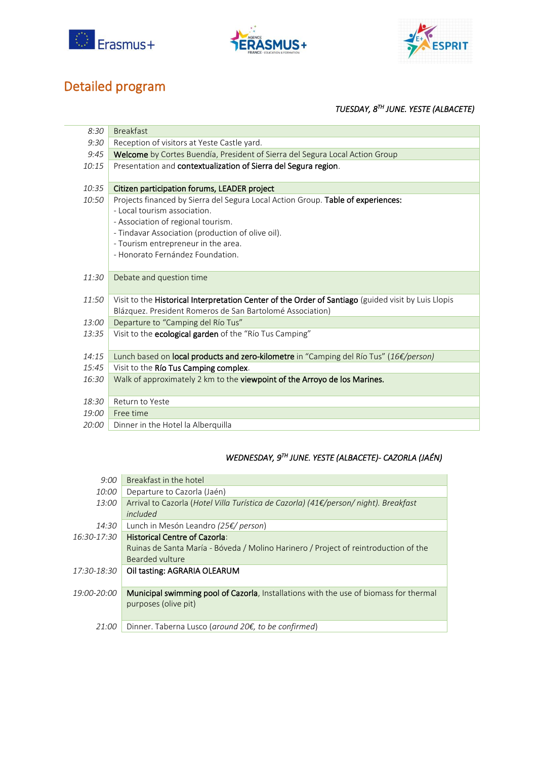





# Detailed program

# *TUESDAY, 8TH JUNE. YESTE (ALBACETE)*

| 8:30  | <b>Breakfast</b>                                                                                                                                                 |
|-------|------------------------------------------------------------------------------------------------------------------------------------------------------------------|
| 9:30  | Reception of visitors at Yeste Castle yard.                                                                                                                      |
| 9:45  | Welcome by Cortes Buendía, President of Sierra del Segura Local Action Group                                                                                     |
| 10:15 | Presentation and contextualization of Sierra del Segura region.                                                                                                  |
| 10:35 | Citizen participation forums, LEADER project                                                                                                                     |
| 10:50 | Projects financed by Sierra del Segura Local Action Group. Table of experiences:                                                                                 |
|       | - Local tourism association.                                                                                                                                     |
|       | - Association of regional tourism.                                                                                                                               |
|       | - Tindavar Association (production of olive oil).                                                                                                                |
|       | - Tourism entrepreneur in the area.<br>- Honorato Fernández Foundation.                                                                                          |
|       |                                                                                                                                                                  |
| 11:30 | Debate and question time                                                                                                                                         |
| 11:50 | Visit to the Historical Interpretation Center of the Order of Santiago (guided visit by Luis Llopis<br>Blázquez. President Romeros de San Bartolomé Association) |
| 13:00 | Departure to "Camping del Río Tus"                                                                                                                               |
| 13:35 | Visit to the ecological garden of the "Río Tus Camping"                                                                                                          |
| 14:15 | Lunch based on local products and zero-kilometre in "Camping del Río Tus" (16€/person)                                                                           |
| 15:45 | Visit to the Río Tus Camping complex.                                                                                                                            |
| 16:30 | Walk of approximately 2 km to the viewpoint of the Arroyo de los Marines.                                                                                        |
| 18:30 | Return to Yeste                                                                                                                                                  |
| 19:00 | Free time                                                                                                                                                        |
| 20:00 | Dinner in the Hotel la Alberguilla                                                                                                                               |

# *WEDNESDAY, 9TH JUNE. YESTE (ALBACETE)- CAZORLA (JAÉN)*

| 9:00        | Breakfast in the hotel                                                                       |
|-------------|----------------------------------------------------------------------------------------------|
| 10:00       | Departure to Cazorla (Jaén)                                                                  |
| 13:00       | Arrival to Cazorla (Hotel Villa Turística de Cazorla) (41€/person/ night). Breakfast         |
|             | included                                                                                     |
| 14:30       | Lunch in Mesón Leandro (25€/ person)                                                         |
| 16:30-17:30 | <b>Historical Centre of Cazorla:</b>                                                         |
|             | Ruinas de Santa María - Bóveda / Molino Harinero / Project of reintroduction of the          |
|             | Bearded vulture                                                                              |
| 17:30-18:30 | Oil tasting: AGRARIA OLEARUM                                                                 |
|             |                                                                                              |
| 19:00-20:00 | <b>Municipal swimming pool of Cazorla, Installations with the use of biomass for thermal</b> |
|             | purposes (olive pit)                                                                         |
|             |                                                                                              |
| 21:00       | Dinner. Taberna Lusco (around 20 $\epsilon$ , to be confirmed)                               |
|             |                                                                                              |